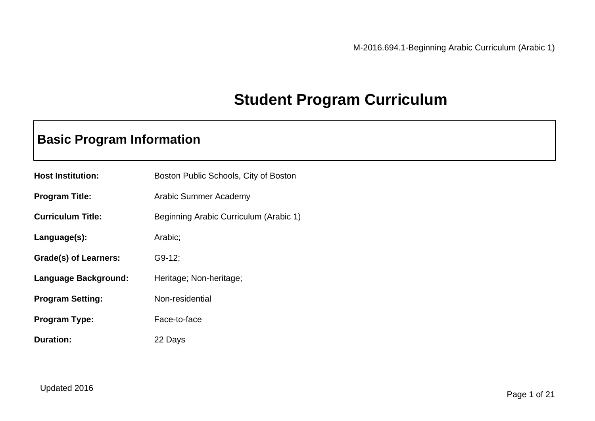### **Student Program Curriculum**

### **Basic Program Information**

| <b>Host Institution:</b> | Boston Public Schools, City of Boston  |
|--------------------------|----------------------------------------|
| <b>Program Title:</b>    | Arabic Summer Academy                  |
| <b>Curriculum Title:</b> | Beginning Arabic Curriculum (Arabic 1) |
| Language(s):             | Arabic;                                |
| Grade(s) of Learners:    | $G9-12$                                |
| Language Background:     | Heritage; Non-heritage;                |
| <b>Program Setting:</b>  | Non-residential                        |
| <b>Program Type:</b>     | Face-to-face                           |
| <b>Duration:</b>         | 22 Days                                |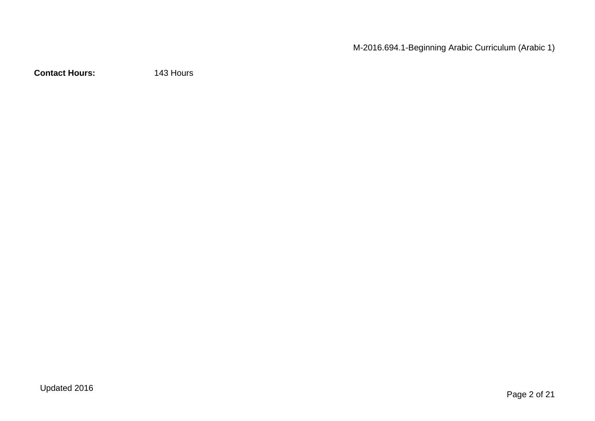M-2016.694.1-Beginning Arabic Curriculum (Arabic 1)

**Contact Hours:** 143 Hours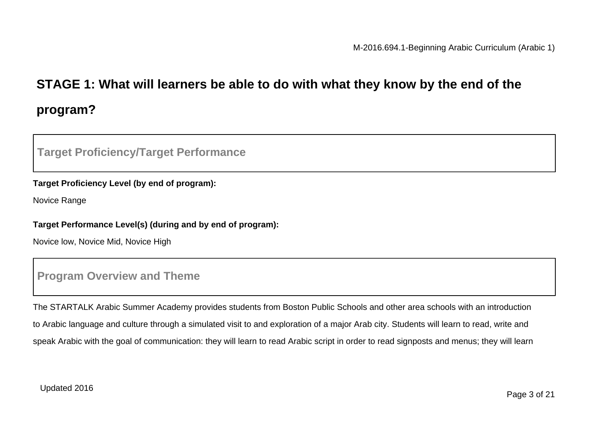## **STAGE 1: What will learners be able to do with what they know by the end of the program?**

### **Target Proficiency/Target Performance**

#### **Target Proficiency Level (by end of program):**

Novice Range

#### **Target Performance Level(s) (during and by end of program):**

Novice low, Novice Mid, Novice High

### **Program Overview and Theme**

The STARTALK Arabic Summer Academy provides students from Boston Public Schools and other area schools with an introduction to Arabic language and culture through a simulated visit to and exploration of a major Arab city. Students will learn to read, write and speak Arabic with the goal of communication: they will learn to read Arabic script in order to read signposts and menus; they will learn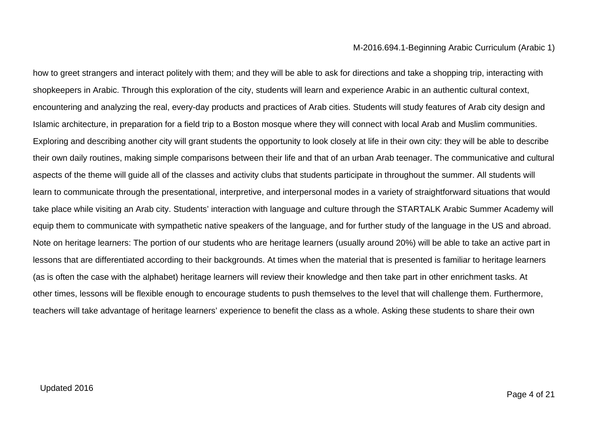how to greet strangers and interact politely with them; and they will be able to ask for directions and take a shopping trip, interacting with shopkeepers in Arabic. Through this exploration of the city, students will learn and experience Arabic in an authentic cultural context, encountering and analyzing the real, every-day products and practices of Arab cities. Students will study features of Arab city design and Islamic architecture, in preparation for a field trip to a Boston mosque where they will connect with local Arab and Muslim communities. Exploring and describing another city will grant students the opportunity to look closely at life in their own city: they will be able to describe their own daily routines, making simple comparisons between their life and that of an urban Arab teenager. The communicative and cultural aspects of the theme will guide all of the classes and activity clubs that students participate in throughout the summer. All students will learn to communicate through the presentational, interpretive, and interpersonal modes in a variety of straightforward situations that would take place while visiting an Arab city. Students' interaction with language and culture through the STARTALK Arabic Summer Academy will equip them to communicate with sympathetic native speakers of the language, and for further study of the language in the US and abroad. Note on heritage learners: The portion of our students who are heritage learners (usually around 20%) will be able to take an active part in lessons that are differentiated according to their backgrounds. At times when the material that is presented is familiar to heritage learners (as is often the case with the alphabet) heritage learners will review their knowledge and then take part in other enrichment tasks. At other times, lessons will be flexible enough to encourage students to push themselves to the level that will challenge them. Furthermore, teachers will take advantage of heritage learners' experience to benefit the class as a whole. Asking these students to share their own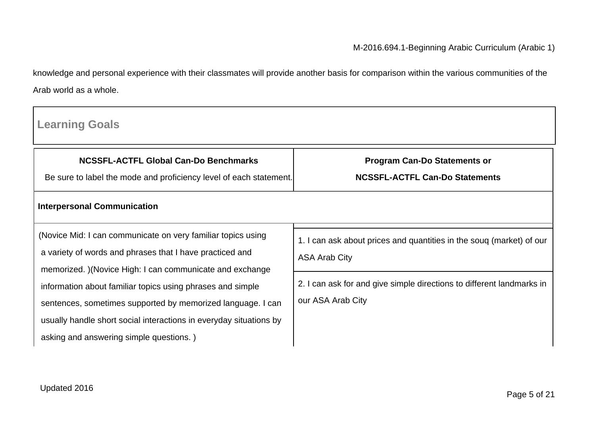knowledge and personal experience with their classmates will provide another basis for comparison within the various communities of the Arab world as a whole.

| <b>Learning Goals</b>                                                                                                                                                                           |                                                                                              |
|-------------------------------------------------------------------------------------------------------------------------------------------------------------------------------------------------|----------------------------------------------------------------------------------------------|
| <b>NCSSFL-ACTFL Global Can-Do Benchmarks</b><br>Be sure to label the mode and proficiency level of each statement.                                                                              | <b>Program Can-Do Statements or</b><br><b>NCSSFL-ACTFL Can-Do Statements</b>                 |
| <b>Interpersonal Communication</b>                                                                                                                                                              |                                                                                              |
| (Novice Mid: I can communicate on very familiar topics using<br>a variety of words and phrases that I have practiced and<br>memorized. )(Novice High: I can communicate and exchange            | 1. I can ask about prices and quantities in the soug (market) of our<br><b>ASA Arab City</b> |
| information about familiar topics using phrases and simple<br>sentences, sometimes supported by memorized language. I can<br>usually handle short social interactions in everyday situations by | 2. I can ask for and give simple directions to different landmarks in<br>our ASA Arab City   |
| asking and answering simple questions.)                                                                                                                                                         |                                                                                              |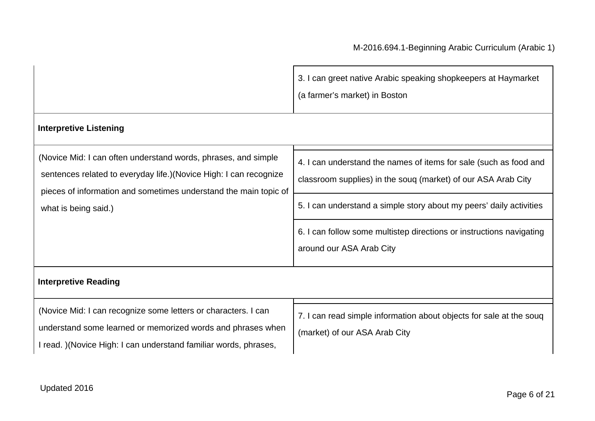|                                                                                                                                                                                                                                  | 3. I can greet native Arabic speaking shopkeepers at Haymarket<br>(a farmer's market) in Boston                                                                                                                                                                                                               |
|----------------------------------------------------------------------------------------------------------------------------------------------------------------------------------------------------------------------------------|---------------------------------------------------------------------------------------------------------------------------------------------------------------------------------------------------------------------------------------------------------------------------------------------------------------|
| <b>Interpretive Listening</b>                                                                                                                                                                                                    |                                                                                                                                                                                                                                                                                                               |
| (Novice Mid: I can often understand words, phrases, and simple<br>sentences related to everyday life.) (Novice High: I can recognize<br>pieces of information and sometimes understand the main topic of<br>what is being said.) | 4. I can understand the names of items for sale (such as food and<br>classroom supplies) in the souq (market) of our ASA Arab City<br>5. I can understand a simple story about my peers' daily activities<br>6. I can follow some multistep directions or instructions navigating<br>around our ASA Arab City |
| <b>Interpretive Reading</b>                                                                                                                                                                                                      |                                                                                                                                                                                                                                                                                                               |
| (Novice Mid: I can recognize some letters or characters. I can<br>understand some learned or memorized words and phrases when<br>I read. ) (Novice High: I can understand familiar words, phrases,                               | 7. I can read simple information about objects for sale at the soug<br>(market) of our ASA Arab City                                                                                                                                                                                                          |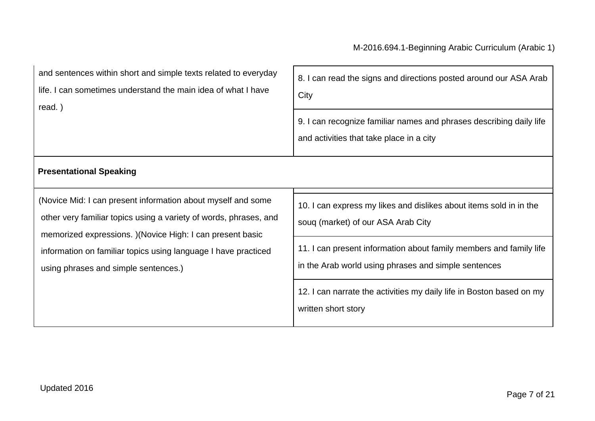| and sentences within short and simple texts related to everyday<br>life. I can sometimes understand the main idea of what I have<br>read.)                                                                                                                                                                | 8. I can read the signs and directions posted around our ASA Arab<br>City<br>9. I can recognize familiar names and phrases describing daily life<br>and activities that take place in a city |
|-----------------------------------------------------------------------------------------------------------------------------------------------------------------------------------------------------------------------------------------------------------------------------------------------------------|----------------------------------------------------------------------------------------------------------------------------------------------------------------------------------------------|
| <b>Presentational Speaking</b>                                                                                                                                                                                                                                                                            |                                                                                                                                                                                              |
| (Novice Mid: I can present information about myself and some<br>other very familiar topics using a variety of words, phrases, and<br>memorized expressions. ) (Novice High: I can present basic<br>information on familiar topics using language I have practiced<br>using phrases and simple sentences.) | 10. I can express my likes and dislikes about items sold in in the<br>soug (market) of our ASA Arab City                                                                                     |
|                                                                                                                                                                                                                                                                                                           | 11. I can present information about family members and family life<br>in the Arab world using phrases and simple sentences                                                                   |
|                                                                                                                                                                                                                                                                                                           | 12. I can narrate the activities my daily life in Boston based on my<br>written short story                                                                                                  |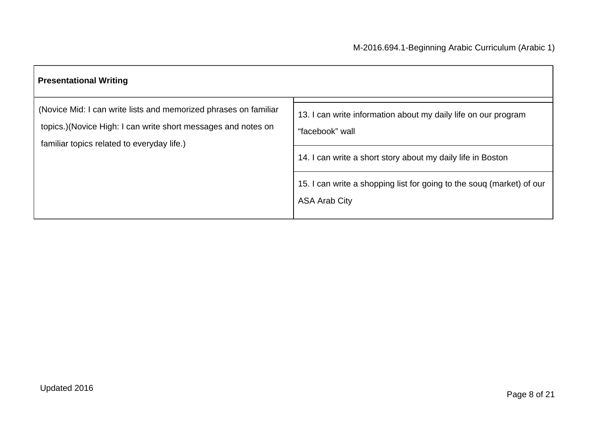| <b>Presentational Writing</b>                                                                                                                                                    |                                                                                               |  |
|----------------------------------------------------------------------------------------------------------------------------------------------------------------------------------|-----------------------------------------------------------------------------------------------|--|
| (Novice Mid: I can write lists and memorized phrases on familiar<br>topics.) (Novice High: I can write short messages and notes on<br>familiar topics related to everyday life.) | 13. I can write information about my daily life on our program<br>"facebook" wall             |  |
|                                                                                                                                                                                  | 14. I can write a short story about my daily life in Boston                                   |  |
|                                                                                                                                                                                  | 15. I can write a shopping list for going to the soug (market) of our<br><b>ASA Arab City</b> |  |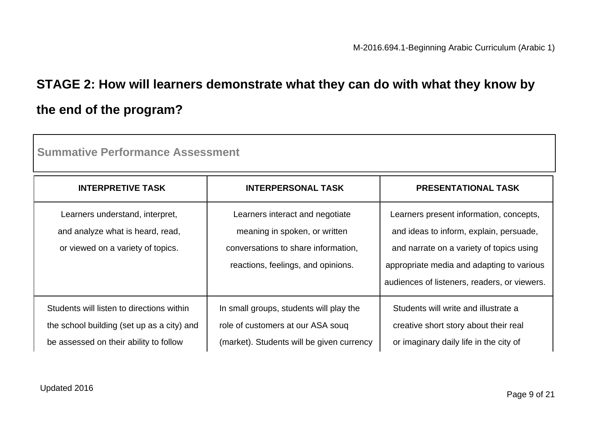## **STAGE 2: How will learners demonstrate what they can do with what they know by the end of the program?**

| Summative Performance Assessment                                                                                                  |                                                                                                                                               |                                                                                                                                                                                                                             |  |
|-----------------------------------------------------------------------------------------------------------------------------------|-----------------------------------------------------------------------------------------------------------------------------------------------|-----------------------------------------------------------------------------------------------------------------------------------------------------------------------------------------------------------------------------|--|
| <b>INTERPRETIVE TASK</b>                                                                                                          | <b>INTERPERSONAL TASK</b>                                                                                                                     | <b>PRESENTATIONAL TASK</b>                                                                                                                                                                                                  |  |
| Learners understand, interpret,<br>and analyze what is heard, read,<br>or viewed on a variety of topics.                          | Learners interact and negotiate<br>meaning in spoken, or written<br>conversations to share information,<br>reactions, feelings, and opinions. | Learners present information, concepts,<br>and ideas to inform, explain, persuade,<br>and narrate on a variety of topics using<br>appropriate media and adapting to various<br>audiences of listeners, readers, or viewers. |  |
| Students will listen to directions within<br>the school building (set up as a city) and<br>be assessed on their ability to follow | In small groups, students will play the<br>role of customers at our ASA soug<br>(market). Students will be given currency                     | Students will write and illustrate a<br>creative short story about their real<br>or imaginary daily life in the city of                                                                                                     |  |

**Summative Performance Assessment**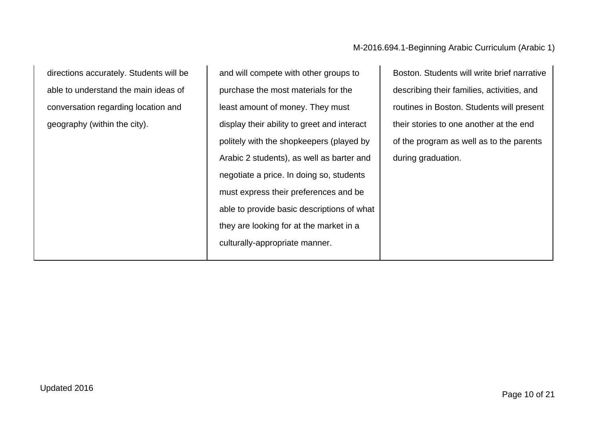directions accurately. Students will be able to understand the main ideas of conversation regarding location and geography (within the city).

and will compete with other groups to purchase the most materials for the least amount of money. They must display their ability to greet and interact politely with the shopkeepers (played by Arabic 2 students), as well as barter and negotiate a price. In doing so, students must express their preferences and be able to provide basic descriptions of what they are looking for at the market in a culturally-appropriate manner.

Boston. Students will write brief narrative describing their families, activities, and routines in Boston. Students will present their stories to one another at the end of the program as well as to the parents during graduation.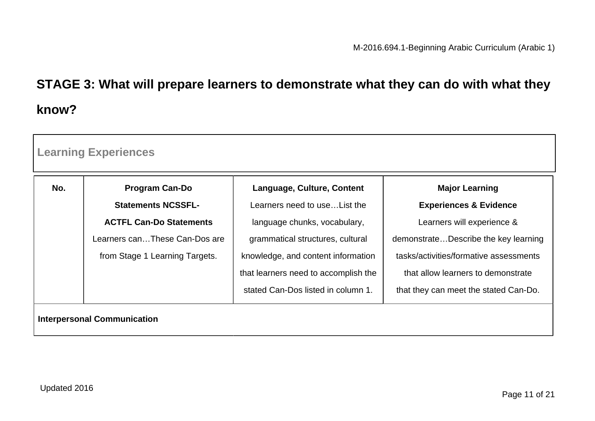# **STAGE 3: What will prepare learners to demonstrate what they can do with what they know?**

| No. | <b>Program Can-Do</b>          | Language, Culture, Content           | <b>Major Learning</b>                  |
|-----|--------------------------------|--------------------------------------|----------------------------------------|
|     | <b>Statements NCSSFL-</b>      | Learners need to use List the        | <b>Experiences &amp; Evidence</b>      |
|     | <b>ACTFL Can-Do Statements</b> | language chunks, vocabulary,         | Learners will experience &             |
|     | Learners canThese Can-Dos are  | grammatical structures, cultural     | demonstrateDescribe the key learning   |
|     | from Stage 1 Learning Targets. | knowledge, and content information   | tasks/activities/formative assessments |
|     |                                | that learners need to accomplish the | that allow learners to demonstrate     |
|     |                                | stated Can-Dos listed in column 1.   | that they can meet the stated Can-Do.  |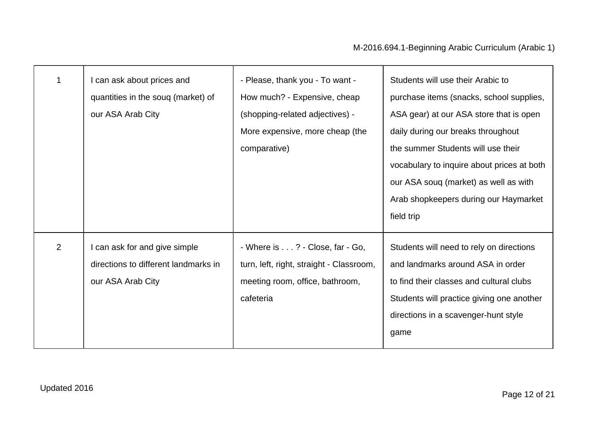|   | I can ask about prices and<br>quantities in the soug (market) of<br>our ASA Arab City      | - Please, thank you - To want -<br>How much? - Expensive, cheap<br>(shopping-related adjectives) -<br>More expensive, more cheap (the<br>comparative) | Students will use their Arabic to<br>purchase items (snacks, school supplies,<br>ASA gear) at our ASA store that is open<br>daily during our breaks throughout<br>the summer Students will use their<br>vocabulary to inquire about prices at both |
|---|--------------------------------------------------------------------------------------------|-------------------------------------------------------------------------------------------------------------------------------------------------------|----------------------------------------------------------------------------------------------------------------------------------------------------------------------------------------------------------------------------------------------------|
|   |                                                                                            |                                                                                                                                                       | our ASA soug (market) as well as with<br>Arab shopkeepers during our Haymarket<br>field trip                                                                                                                                                       |
| 2 | I can ask for and give simple<br>directions to different landmarks in<br>our ASA Arab City | - Where is ? - Close, far - Go,<br>turn, left, right, straight - Classroom,<br>meeting room, office, bathroom,<br>cafeteria                           | Students will need to rely on directions<br>and landmarks around ASA in order<br>to find their classes and cultural clubs<br>Students will practice giving one another<br>directions in a scavenger-hunt style<br>game                             |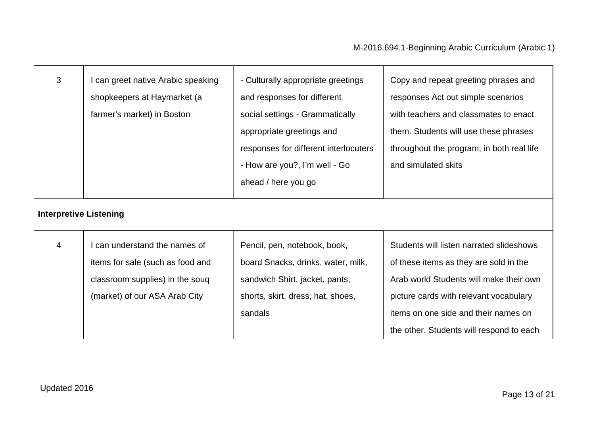| 3                             | can greet native Arabic speaking<br>shopkeepers at Haymarket (a<br>farmer's market) in Boston                                       | - Culturally appropriate greetings<br>and responses for different<br>social settings - Grammatically<br>appropriate greetings and<br>responses for different interlocuters<br>- How are you?, I'm well - Go<br>ahead / here you go | Copy and repeat greeting phrases and<br>responses Act out simple scenarios<br>with teachers and classmates to enact<br>them. Students will use these phrases<br>throughout the program, in both real life<br>and simulated skits                            |
|-------------------------------|-------------------------------------------------------------------------------------------------------------------------------------|------------------------------------------------------------------------------------------------------------------------------------------------------------------------------------------------------------------------------------|-------------------------------------------------------------------------------------------------------------------------------------------------------------------------------------------------------------------------------------------------------------|
| <b>Interpretive Listening</b> |                                                                                                                                     |                                                                                                                                                                                                                                    |                                                                                                                                                                                                                                                             |
| 4                             | can understand the names of<br>items for sale (such as food and<br>classroom supplies) in the souq<br>(market) of our ASA Arab City | Pencil, pen, notebook, book,<br>board Snacks, drinks, water, milk,<br>sandwich Shirt, jacket, pants,<br>shorts, skirt, dress, hat, shoes,<br>sandals                                                                               | Students will listen narrated slideshows<br>of these items as they are sold in the<br>Arab world Students will make their own<br>picture cards with relevant vocabulary<br>items on one side and their names on<br>the other. Students will respond to each |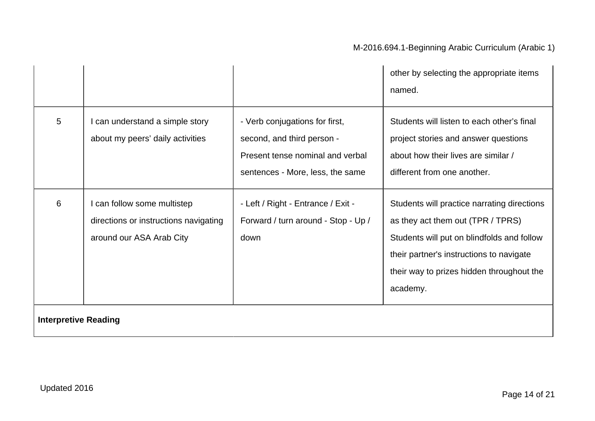|   |                                                                                                |                                                                                                                                      | other by selecting the appropriate items<br>named.                                                                                                                                                                                  |
|---|------------------------------------------------------------------------------------------------|--------------------------------------------------------------------------------------------------------------------------------------|-------------------------------------------------------------------------------------------------------------------------------------------------------------------------------------------------------------------------------------|
| 5 | can understand a simple story<br>about my peers' daily activities                              | - Verb conjugations for first,<br>second, and third person -<br>Present tense nominal and verbal<br>sentences - More, less, the same | Students will listen to each other's final<br>project stories and answer questions<br>about how their lives are similar /<br>different from one another.                                                                            |
| 6 | can follow some multistep<br>directions or instructions navigating<br>around our ASA Arab City | - Left / Right - Entrance / Exit -<br>Forward / turn around - Stop - Up /<br>down                                                    | Students will practice narrating directions<br>as they act them out (TPR / TPRS)<br>Students will put on blindfolds and follow<br>their partner's instructions to navigate<br>their way to prizes hidden throughout the<br>academy. |

#### **Interpretive Reading**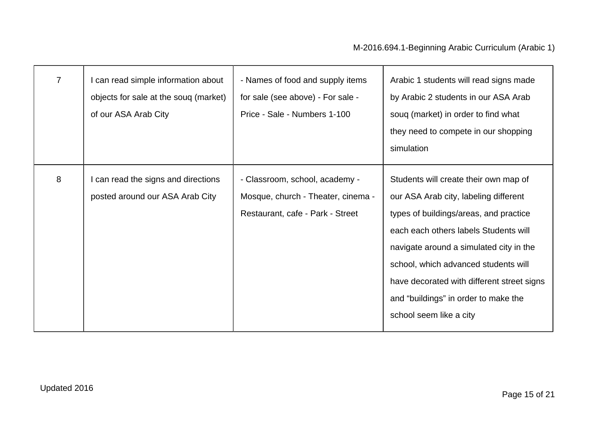| $\overline{7}$ | I can read simple information about<br>objects for sale at the soug (market)<br>of our ASA Arab City | - Names of food and supply items<br>for sale (see above) - For sale -<br>Price - Sale - Numbers 1-100    | Arabic 1 students will read signs made<br>by Arabic 2 students in our ASA Arab<br>soug (market) in order to find what<br>they need to compete in our shopping<br>simulation                                                                                                                                                                                           |
|----------------|------------------------------------------------------------------------------------------------------|----------------------------------------------------------------------------------------------------------|-----------------------------------------------------------------------------------------------------------------------------------------------------------------------------------------------------------------------------------------------------------------------------------------------------------------------------------------------------------------------|
| 8              | I can read the signs and directions<br>posted around our ASA Arab City                               | - Classroom, school, academy -<br>Mosque, church - Theater, cinema -<br>Restaurant, cafe - Park - Street | Students will create their own map of<br>our ASA Arab city, labeling different<br>types of buildings/areas, and practice<br>each each others labels Students will<br>navigate around a simulated city in the<br>school, which advanced students will<br>have decorated with different street signs<br>and "buildings" in order to make the<br>school seem like a city |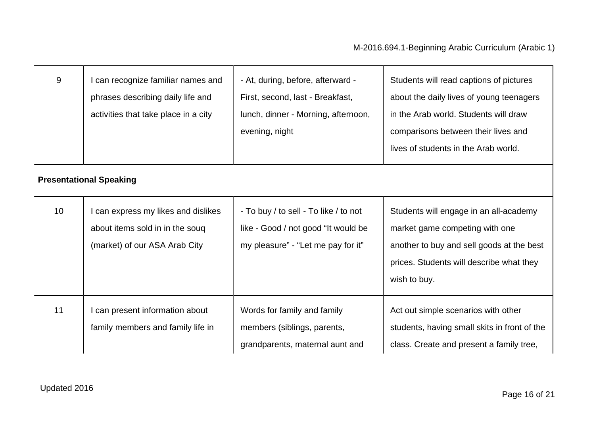| 9  | can recognize familiar names and<br>phrases describing daily life and<br>activities that take place in a city | - At, during, before, afterward -<br>First, second, last - Breakfast,<br>lunch, dinner - Morning, afternoon,<br>evening, night | Students will read captions of pictures<br>about the daily lives of young teenagers<br>in the Arab world. Students will draw<br>comparisons between their lives and<br>lives of students in the Arab world. |
|----|---------------------------------------------------------------------------------------------------------------|--------------------------------------------------------------------------------------------------------------------------------|-------------------------------------------------------------------------------------------------------------------------------------------------------------------------------------------------------------|
|    | <b>Presentational Speaking</b>                                                                                |                                                                                                                                |                                                                                                                                                                                                             |
| 10 | can express my likes and dislikes<br>about items sold in in the souq<br>(market) of our ASA Arab City         | - To buy / to sell - To like / to not<br>like - Good / not good "It would be<br>my pleasure" - "Let me pay for it"             | Students will engage in an all-academy<br>market game competing with one<br>another to buy and sell goods at the best<br>prices. Students will describe what they<br>wish to buy.                           |
| 11 | can present information about<br>family members and family life in                                            | Words for family and family<br>members (siblings, parents,<br>grandparents, maternal aunt and                                  | Act out simple scenarios with other<br>students, having small skits in front of the<br>class. Create and present a family tree,                                                                             |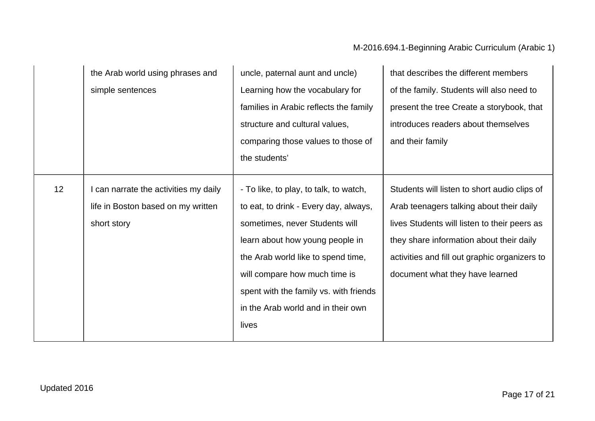### M-2016.694.1-Beginning Arabic Curriculum (Arabic 1)

|    | the Arab world using phrases and      | uncle, paternal aunt and uncle)        | that describes the different members          |
|----|---------------------------------------|----------------------------------------|-----------------------------------------------|
|    | simple sentences                      | Learning how the vocabulary for        | of the family. Students will also need to     |
|    |                                       | families in Arabic reflects the family | present the tree Create a storybook, that     |
|    |                                       | structure and cultural values,         | introduces readers about themselves           |
|    |                                       | comparing those values to those of     | and their family                              |
|    |                                       | the students'                          |                                               |
|    |                                       |                                        |                                               |
| 12 | I can narrate the activities my daily | - To like, to play, to talk, to watch, | Students will listen to short audio clips of  |
|    | life in Boston based on my written    | to eat, to drink - Every day, always,  | Arab teenagers talking about their daily      |
|    | short story                           | sometimes, never Students will         | lives Students will listen to their peers as  |
|    |                                       | learn about how young people in        | they share information about their daily      |
|    |                                       | the Arab world like to spend time,     | activities and fill out graphic organizers to |
|    |                                       | will compare how much time is          | document what they have learned               |
|    |                                       | spent with the family vs. with friends |                                               |
|    |                                       | in the Arab world and in their own     |                                               |
|    |                                       | lives                                  |                                               |
|    |                                       |                                        |                                               |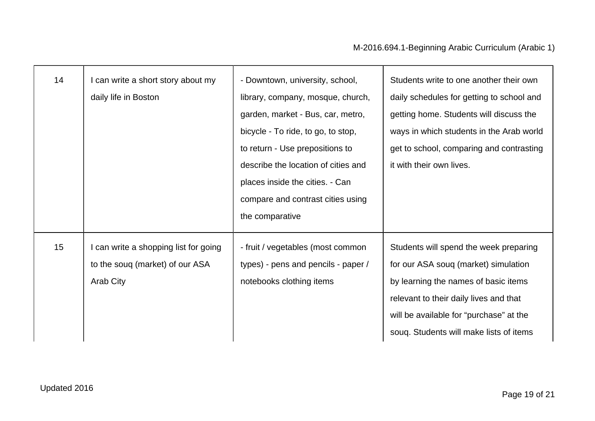| 14               | I can write a short story about my<br>daily life in Boston                            | - Downtown, university, school,<br>library, company, mosque, church,<br>garden, market - Bus, car, metro,<br>bicycle - To ride, to go, to stop,<br>to return - Use prepositions to<br>describe the location of cities and<br>places inside the cities. - Can<br>compare and contrast cities using<br>the comparative | Students write to one another their own<br>daily schedules for getting to school and<br>getting home. Students will discuss the<br>ways in which students in the Arab world<br>get to school, comparing and contrasting<br>it with their own lives.    |
|------------------|---------------------------------------------------------------------------------------|----------------------------------------------------------------------------------------------------------------------------------------------------------------------------------------------------------------------------------------------------------------------------------------------------------------------|--------------------------------------------------------------------------------------------------------------------------------------------------------------------------------------------------------------------------------------------------------|
| 15 <sub>15</sub> | I can write a shopping list for going<br>to the soug (market) of our ASA<br>Arab City | - fruit / vegetables (most common<br>types) - pens and pencils - paper /<br>notebooks clothing items                                                                                                                                                                                                                 | Students will spend the week preparing<br>for our ASA soug (market) simulation<br>by learning the names of basic items<br>relevant to their daily lives and that<br>will be available for "purchase" at the<br>soug. Students will make lists of items |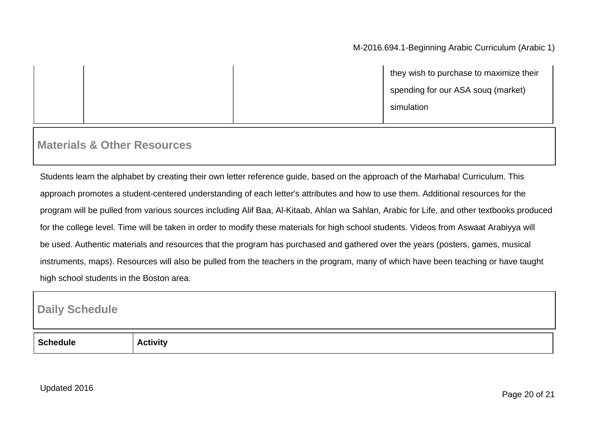|  | they wish to purchase to maximize their |
|--|-----------------------------------------|
|  | spending for our ASA soug (market)      |
|  | simulation                              |

### **Materials & Other Resources**

Students learn the alphabet by creating their own letter reference guide, based on the approach of the Marhaba! Curriculum. This approach promotes a student-centered understanding of each letter's attributes and how to use them. Additional resources for the program will be pulled from various sources including Alif Baa, Al-Kitaab, Ahlan wa Sahlan, Arabic for Life, and other textbooks produced for the college level. Time will be taken in order to modify these materials for high school students. Videos from Aswaat Arabiyya will be used. Authentic materials and resources that the program has purchased and gathered over the years (posters, games, musical instruments, maps). Resources will also be pulled from the teachers in the program, many of which have been teaching or have taught high school students in the Boston area.

### **Daily Schedule**

| ше | ----<br>. |
|----|-----------|